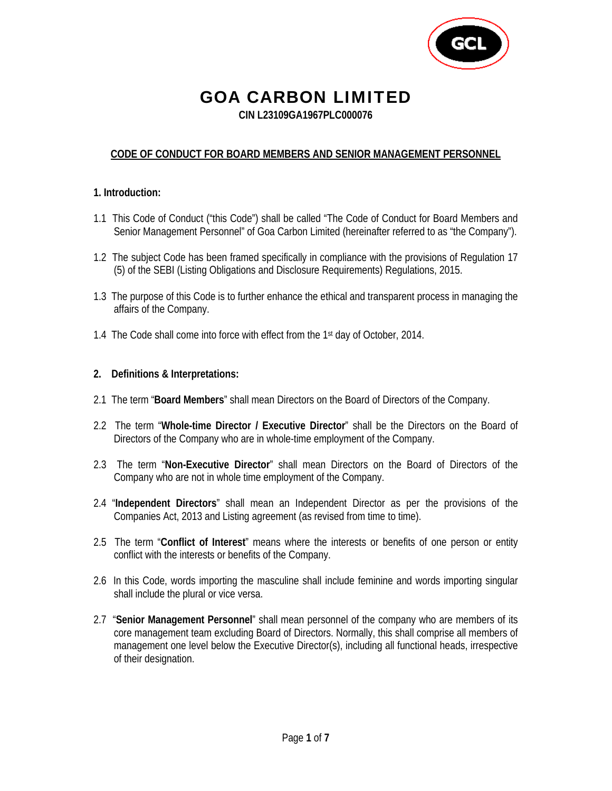

# GOA CARBON LIMITED

**CIN L23109GA1967PLC000076** 

#### **CODE OF CONDUCT FOR BOARD MEMBERS AND SENIOR MANAGEMENT PERSONNEL**

#### **1. Introduction:**

- 1.1 This Code of Conduct ("this Code") shall be called "The Code of Conduct for Board Members and Senior Management Personnel" of Goa Carbon Limited (hereinafter referred to as "the Company").
- 1.2 The subject Code has been framed specifically in compliance with the provisions of Regulation 17 (5) of the SEBI (Listing Obligations and Disclosure Requirements) Regulations, 2015.
- 1.3 The purpose of this Code is to further enhance the ethical and transparent process in managing the affairs of the Company.
- 1.4 The Code shall come into force with effect from the 1<sup>st</sup> day of October, 2014.

#### **2. Definitions & Interpretations:**

- 2.1 The term "**Board Members**" shall mean Directors on the Board of Directors of the Company.
- 2.2 The term "**Whole-time Director / Executive Director**" shall be the Directors on the Board of Directors of the Company who are in whole-time employment of the Company.
- 2.3 The term "**Non-Executive Director**" shall mean Directors on the Board of Directors of the Company who are not in whole time employment of the Company.
- 2.4 "**Independent Directors**" shall mean an Independent Director as per the provisions of the Companies Act, 2013 and Listing agreement (as revised from time to time).
- 2.5 The term "**Conflict of Interest**" means where the interests or benefits of one person or entity conflict with the interests or benefits of the Company.
- 2.6 In this Code, words importing the masculine shall include feminine and words importing singular shall include the plural or vice versa.
- 2.7 "**Senior Management Personnel**" shall mean personnel of the company who are members of its core management team excluding Board of Directors. Normally, this shall comprise all members of management one level below the Executive Director(s), including all functional heads, irrespective of their designation.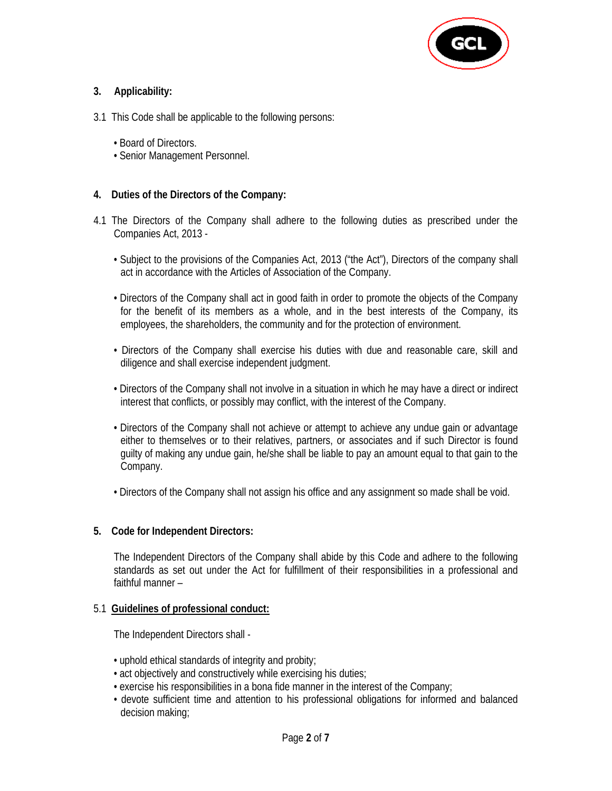

#### **3. Applicability:**

- 3.1 This Code shall be applicable to the following persons:
	- Board of Directors.
	- Senior Management Personnel.

#### **4. Duties of the Directors of the Company:**

- 4.1 The Directors of the Company shall adhere to the following duties as prescribed under the Companies Act, 2013 -
	- Subject to the provisions of the Companies Act, 2013 ("the Act"), Directors of the company shall act in accordance with the Articles of Association of the Company.
	- Directors of the Company shall act in good faith in order to promote the objects of the Company for the benefit of its members as a whole, and in the best interests of the Company, its employees, the shareholders, the community and for the protection of environment.
	- Directors of the Company shall exercise his duties with due and reasonable care, skill and diligence and shall exercise independent judgment.
	- Directors of the Company shall not involve in a situation in which he may have a direct or indirect interest that conflicts, or possibly may conflict, with the interest of the Company.
	- Directors of the Company shall not achieve or attempt to achieve any undue gain or advantage either to themselves or to their relatives, partners, or associates and if such Director is found guilty of making any undue gain, he/she shall be liable to pay an amount equal to that gain to the Company.
	- Directors of the Company shall not assign his office and any assignment so made shall be void.

#### **5. Code for Independent Directors:**

 The Independent Directors of the Company shall abide by this Code and adhere to the following standards as set out under the Act for fulfillment of their responsibilities in a professional and faithful manner –

#### 5.1 **Guidelines of professional conduct:**

The Independent Directors shall -

- uphold ethical standards of integrity and probity;
- act objectively and constructively while exercising his duties;
- exercise his responsibilities in a bona fide manner in the interest of the Company;
- devote sufficient time and attention to his professional obligations for informed and balanced decision making;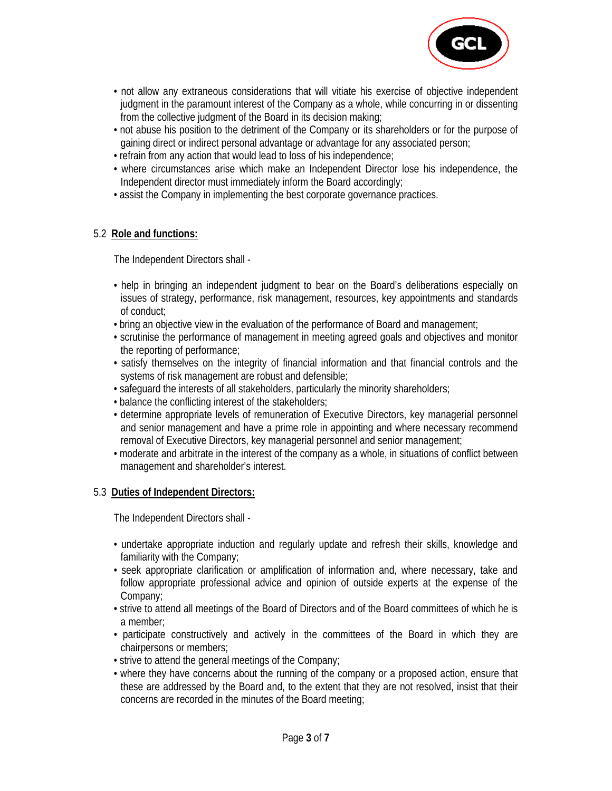

- not allow any extraneous considerations that will vitiate his exercise of objective independent judgment in the paramount interest of the Company as a whole, while concurring in or dissenting from the collective judgment of the Board in its decision making;
- not abuse his position to the detriment of the Company or its shareholders or for the purpose of gaining direct or indirect personal advantage or advantage for any associated person;
- refrain from any action that would lead to loss of his independence;
- where circumstances arise which make an Independent Director lose his independence, the Independent director must immediately inform the Board accordingly;
- assist the Company in implementing the best corporate governance practices.

#### 5.2 **Role and functions:**

The Independent Directors shall -

- help in bringing an independent judgment to bear on the Board's deliberations especially on issues of strategy, performance, risk management, resources, key appointments and standards of conduct;
- bring an objective view in the evaluation of the performance of Board and management;
- scrutinise the performance of management in meeting agreed goals and objectives and monitor the reporting of performance;
- satisfy themselves on the integrity of financial information and that financial controls and the systems of risk management are robust and defensible;
- safeguard the interests of all stakeholders, particularly the minority shareholders;
- balance the conflicting interest of the stakeholders;
- determine appropriate levels of remuneration of Executive Directors, key managerial personnel and senior management and have a prime role in appointing and where necessary recommend removal of Executive Directors, key managerial personnel and senior management;
- moderate and arbitrate in the interest of the company as a whole, in situations of conflict between management and shareholder's interest.

#### 5.3 **Duties of Independent Directors:**

The Independent Directors shall -

- undertake appropriate induction and regularly update and refresh their skills, knowledge and familiarity with the Company;
- seek appropriate clarification or amplification of information and, where necessary, take and follow appropriate professional advice and opinion of outside experts at the expense of the Company;
- strive to attend all meetings of the Board of Directors and of the Board committees of which he is a member;
- participate constructively and actively in the committees of the Board in which they are chairpersons or members;
- strive to attend the general meetings of the Company;
- where they have concerns about the running of the company or a proposed action, ensure that these are addressed by the Board and, to the extent that they are not resolved, insist that their concerns are recorded in the minutes of the Board meeting;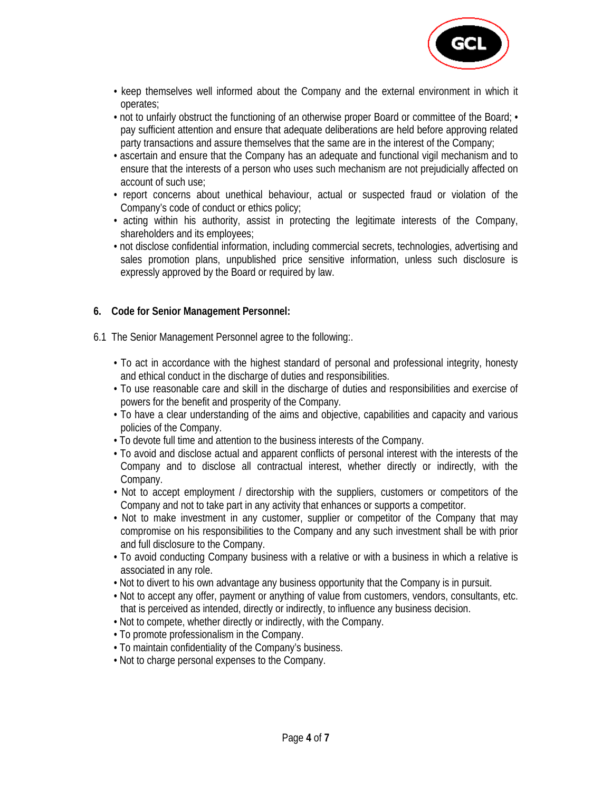

- keep themselves well informed about the Company and the external environment in which it operates;
- not to unfairly obstruct the functioning of an otherwise proper Board or committee of the Board; pay sufficient attention and ensure that adequate deliberations are held before approving related party transactions and assure themselves that the same are in the interest of the Company;
- ascertain and ensure that the Company has an adequate and functional vigil mechanism and to ensure that the interests of a person who uses such mechanism are not prejudicially affected on account of such use;
- report concerns about unethical behaviour, actual or suspected fraud or violation of the Company's code of conduct or ethics policy;
- acting within his authority, assist in protecting the legitimate interests of the Company, shareholders and its employees;
- not disclose confidential information, including commercial secrets, technologies, advertising and sales promotion plans, unpublished price sensitive information, unless such disclosure is expressly approved by the Board or required by law.

#### **6. Code for Senior Management Personnel:**

- 6.1 The Senior Management Personnel agree to the following:.
	- To act in accordance with the highest standard of personal and professional integrity, honesty and ethical conduct in the discharge of duties and responsibilities.
	- To use reasonable care and skill in the discharge of duties and responsibilities and exercise of powers for the benefit and prosperity of the Company.
	- To have a clear understanding of the aims and objective, capabilities and capacity and various policies of the Company.
	- To devote full time and attention to the business interests of the Company.
	- To avoid and disclose actual and apparent conflicts of personal interest with the interests of the Company and to disclose all contractual interest, whether directly or indirectly, with the Company.
	- Not to accept employment / directorship with the suppliers, customers or competitors of the Company and not to take part in any activity that enhances or supports a competitor.
	- Not to make investment in any customer, supplier or competitor of the Company that may compromise on his responsibilities to the Company and any such investment shall be with prior and full disclosure to the Company.
	- To avoid conducting Company business with a relative or with a business in which a relative is associated in any role.
	- Not to divert to his own advantage any business opportunity that the Company is in pursuit.
	- Not to accept any offer, payment or anything of value from customers, vendors, consultants, etc. that is perceived as intended, directly or indirectly, to influence any business decision.
	- Not to compete, whether directly or indirectly, with the Company.
	- To promote professionalism in the Company.
	- To maintain confidentiality of the Company's business.
	- Not to charge personal expenses to the Company.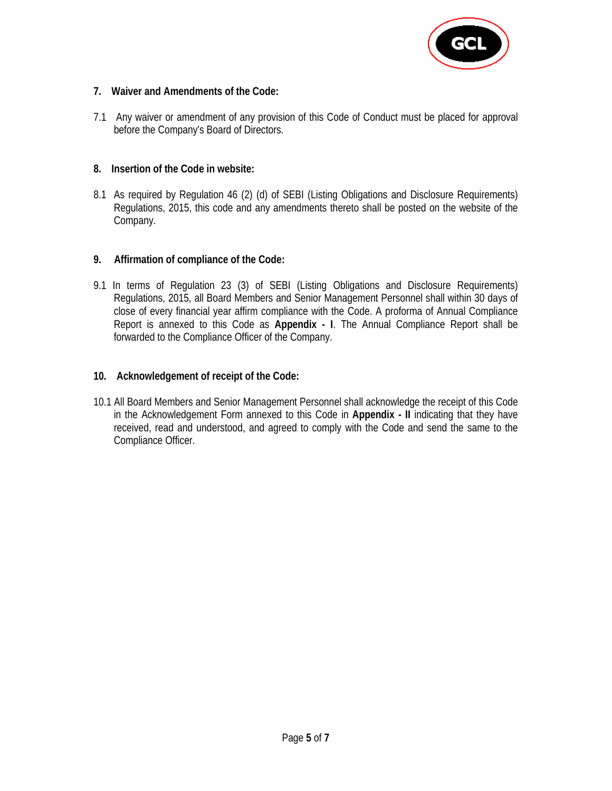

#### **7. Waiver and Amendments of the Code:**

7.1 Any waiver or amendment of any provision of this Code of Conduct must be placed for approval before the Company's Board of Directors.

#### **8. Insertion of the Code in website:**

8.1 As required by Regulation 46 (2) (d) of SEBI (Listing Obligations and Disclosure Requirements) Regulations, 2015, this code and any amendments thereto shall be posted on the website of the Company.

#### **9. Affirmation of compliance of the Code:**

9.1 In terms of Regulation 23 (3) of SEBI (Listing Obligations and Disclosure Requirements) Regulations, 2015, all Board Members and Senior Management Personnel shall within 30 days of close of every financial year affirm compliance with the Code. A proforma of Annual Compliance Report is annexed to this Code as **Appendix - I**. The Annual Compliance Report shall be forwarded to the Compliance Officer of the Company.

#### **10. Acknowledgement of receipt of the Code:**

10.1 All Board Members and Senior Management Personnel shall acknowledge the receipt of this Code in the Acknowledgement Form annexed to this Code in **Appendix - II** indicating that they have received, read and understood, and agreed to comply with the Code and send the same to the Compliance Officer.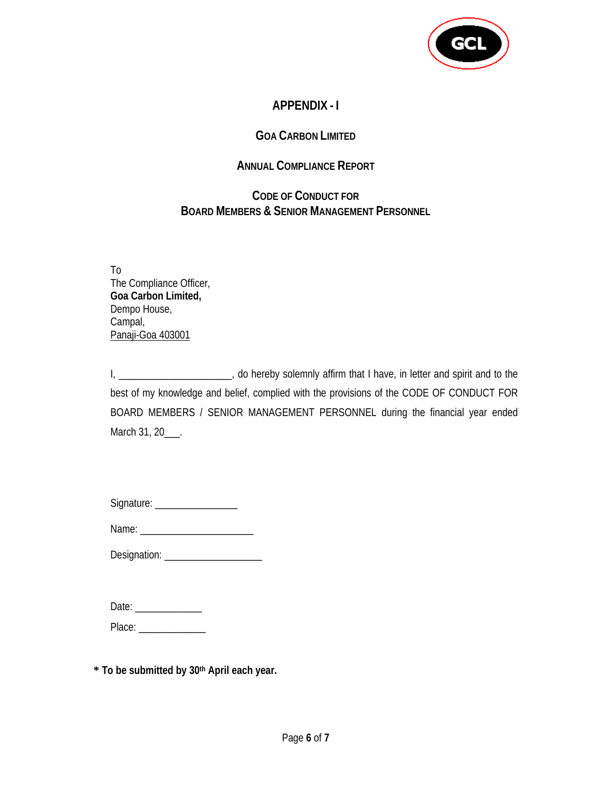

# **APPENDIX - I**

## **GOA CARBON LIMITED**

### **ANNUAL COMPLIANCE REPORT**

## **CODE OF CONDUCT FOR BOARD MEMBERS & SENIOR MANAGEMENT PERSONNEL**

To The Compliance Officer, **Goa Carbon Limited,**  Dempo House, Campal, Panaji-Goa 403001

I, \_\_\_\_\_\_\_\_\_\_\_\_\_\_\_\_\_\_\_\_\_\_, do hereby solemnly affirm that I have, in letter and spirit and to the best of my knowledge and belief, complied with the provisions of the CODE OF CONDUCT FOR BOARD MEMBERS / SENIOR MANAGEMENT PERSONNEL during the financial year ended March 31, 20\_\_\_\_.

| Signature: |  |
|------------|--|
|            |  |

| Name: |  |
|-------|--|
|       |  |

Designation: \_\_\_\_\_\_\_\_\_\_\_\_\_\_\_\_\_\_\_

| Date: |
|-------|
|-------|

Place:

**\* To be submitted by 30th April each year.**